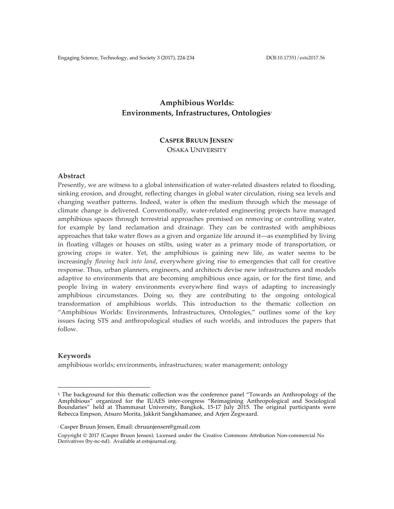# **Amphibious Worlds:** Environments, Infrastructures, Ontologies<sup>1</sup>

## **CASPER BRUUN JENSEN**<sup>2</sup> OSAKA UNIVERSITY

## **Abstract**

Presently, we are witness to a global intensification of water-related disasters related to flooding, sinking erosion, and drought, reflecting changes in global water circulation, rising sea levels and changing weather patterns. Indeed, water is often the medium through which the message of climate change is delivered. Conventionally, water-related engineering projects have managed amphibious spaces through terrestrial approaches premised on removing or controlling water, for example by land reclamation and drainage. They can be contrasted with amphibious approaches that take water flows as a given and organize life around it––as exemplified by living in floating villages or houses on stilts, using water as a primary mode of transportation, or growing crops *in* water. Yet, the amphibious is gaining new life, as water seems to be increasingly *flowing back into land*, everywhere giving rise to emergencies that call for creative response. Thus, urban planners, engineers, and architects devise new infrastructures and models adaptive to environments that are becoming amphibious once again, or for the first time, and people living in watery environments everywhere find ways of adapting to increasingly amphibious circumstances. Doing so, they are contributing to the ongoing ontological transformation of amphibious worlds. This introduction to the thematic collection on "Amphibious Worlds: Environments, Infrastructures, Ontologies," outlines some of the key issues facing STS and anthropological studies of such worlds, and introduces the papers that follow.

#### **Keywords**

amphibious worlds; environments, infrastructures; water management; ontology

 

<sup>1</sup> The background for this thematic collection was the conference panel "Towards an Anthropology of the Amphibious" organized for the IUAES inter-congress "Reimagining Anthropological and Sociological Boundaries" held at Thammasat University, Bangkok, 15-17 July 2015. The original participants were Rebecca Empson, Atsuro Morita, Jakkrit Sangkhamanee, and Arjen Zegwaard.

<sup>2</sup> Casper Bruun Jensen, Email: cbruunjensen@gmail.com

Copyright © 2017 (Casper Bruun Jensen). Licensed under the Creative Commons Attribution Non-commercial No Derivatives (by-nc-nd). Available at estsjournal.org.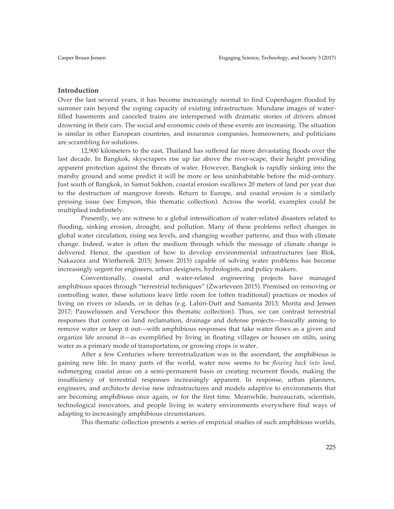## **Introduction**

Over the last several years, it has become increasingly normal to find Copenhagen flooded by summer rain beyond the coping capacity of existing infrastructure. Mundane images of waterfilled basements and canceled trains are interspersed with dramatic stories of drivers almost drowning in their cars. The social and economic costs of these events are increasing. The situation is similar in other European countries, and insurance companies, homeowners, and politicians are scrambling for solutions.

12,900 kilometers to the east, Thailand has suffered far more devastating floods over the last decade. In Bangkok, skyscrapers rise up far above the river-scape, their height providing apparent protection against the threats of water. However, Bangkok is rapidly sinking into the marshy ground and some predict it will be more or less uninhabitable before the mid-century. Just south of Bangkok, in Samut Sakhon, coastal erosion swallows 20 meters of land per year due to the destruction of mangrove forests. Return to Europe, and coastal erosion is a similarly pressing issue (see Empson, this thematic collection). Across the world, examples could be multiplied indefinitely.

Presently, we are witness to a global intensification of water-related disasters related to flooding, sinking erosion, drought, and pollution. Many of these problems reflect changes in global water circulation, rising sea levels, and changing weather patterns, and thus with climate change. Indeed, water is often the medium through which the message of climate change is delivered. Hence, the question of how to develop environmental infrastructures (see Blok, Nakazora and Winthereik 2015; Jensen 2015) capable of solving water problems has become increasingly urgent for engineers, urban designers, hydrologists, and policy makers.

Conventionally, coastal and water-related engineering projects have managed amphibious spaces through "terrestrial techniques" (Zwarteveen 2015). Premised on removing or controlling water, these solutions leave little room for (often traditional) practices or modes of living on rivers or islands, or in deltas (e.g. Lahiri-Dutt and Samanta 2013; Morita and Jensen 2017; Pauwelussen and Verschoor this thematic collection). Thus, we can contrast terrestrial responses that center on land reclamation, drainage and defense projects––basically aiming to remove water or keep it out—with amphibious responses that take water flows as a given and organize life around it––as exemplified by living in floating villages or houses on stilts, using water as a primary mode of transportation, or growing crops *in* water.

After a few Centuries where terrestrialization was in the ascendant, the amphibious is gaining new life. In many parts of the world, water now seems to be *flowing back into land*, submerging coastal areas on a semi-permanent basis or creating recurrent floods, making the insufficiency of terrestrial responses increasingly apparent. In response, urban planners, engineers, and architects devise new infrastructures and models adaptive to environments that are becoming amphibious once again, or for the first time. Meanwhile, bureaucrats, scientists, technological innovators, and people living in watery environments everywhere find ways of adapting to increasingly amphibious circumstances.

This thematic collection presents a series of empirical studies of such amphibious worlds,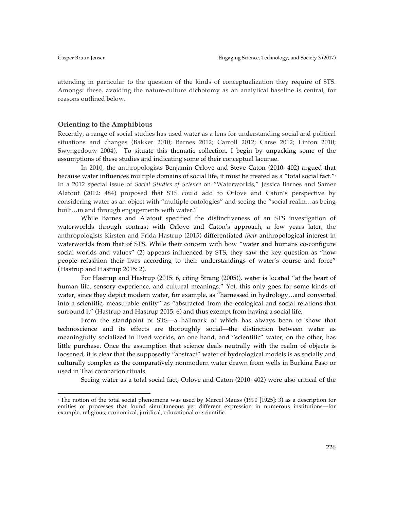attending in particular to the question of the kinds of conceptualization they require of STS. Amongst these, avoiding the nature-culture dichotomy as an analytical baseline is central, for reasons outlined below.

## **Orienting to the Amphibious**

 

Recently, a range of social studies has used water as a lens for understanding social and political situations and changes (Bakker 2010; Barnes 2012; Carroll 2012; Carse 2012; Linton 2010; Swyngedouw 2004). To situate this thematic collection, I begin by unpacking some of the assumptions of these studies and indicating some of their conceptual lacunae.

In 2010, the anthropologists Benjamin Orlove and Steve Caton (2010: 402) argued that because water influences multiple domains of social life, it must be treated as a "total social fact." but In a 2012 special issue of *Social Studies of Science* on "Waterworlds," Jessica Barnes and Samer Alatout (2012: 484) proposed that STS could add to Orlove and Caton's perspective by considering water as an object with "multiple ontologies" and seeing the "social realm…as being built…in and through engagements with water."

While Barnes and Alatout specified the distinctiveness of an STS investigation of waterworlds through contrast with Orlove and Caton's approach, a few years later, the anthropologists Kirsten and Frida Hastrup (2015) differentiated *their* anthropological interest in waterworlds from that of STS. While their concern with how "water and humans co-configure social worlds and values" (2) appears influenced by STS, they saw the key question as "how people refashion their lives according to their understandings of water's course and force" (Hastrup and Hastrup 2015: 2).

For Hastrup and Hastrup (2015: 6, citing Strang (2005)), water is located "at the heart of human life, sensory experience, and cultural meanings." Yet, this only goes for some kinds of water, since they depict modern water, for example, as "harnessed in hydrology…and converted into a scientific, measurable entity" as "abstracted from the ecological and social relations that surround it" (Hastrup and Hastrup 2015: 6) and thus exempt from having a social life.

From the standpoint of STS––a hallmark of which has always been to show that technoscience and its effects are thoroughly social––the distinction between water as meaningfully socialized in lived worlds, on one hand, and "scientific" water, on the other, has little purchase. Once the assumption that science deals neutrally with the realm of objects is loosened, it is clear that the supposedly "abstract" water of hydrological models is as socially and culturally complex as the comparatively nonmodern water drawn from wells in Burkina Faso or used in Thai coronation rituals.

Seeing water as a total social fact, Orlove and Caton (2010: 402) were also critical of the

<sup>3</sup> The notion of the total social phenomena was used by Marcel Mauss (1990 [1925]: 3) as a description for entities or processes that found simultaneous yet different expression in numerous institutions––for example, religious, economical, juridical, educational or scientific.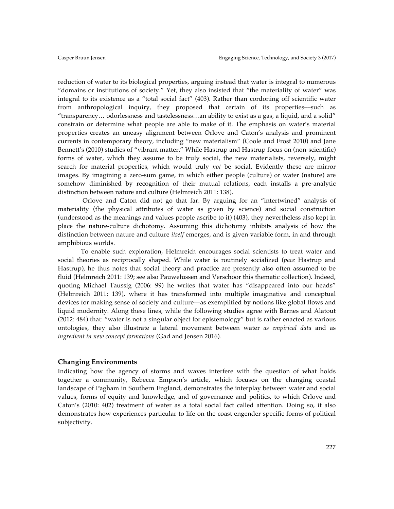reduction of water to its biological properties, arguing instead that water is integral to numerous "domains or institutions of society." Yet, they also insisted that "the materiality of water" was integral to its existence as a "total social fact" (403). Rather than cordoning off scientific water from anthropological inquiry, they proposed that certain of its properties––such as "transparency… odorlessness and tastelessness…an ability to exist as a gas, a liquid, and a solid" constrain or determine what people are able to make of it. The emphasis on water's material properties creates an uneasy alignment between Orlove and Caton's analysis and prominent currents in contemporary theory, including "new materialism" (Coole and Frost 2010) and Jane Bennett's (2010) studies of "vibrant matter." While Hastrup and Hastrup focus on (non-scientific) forms of water, which they assume to be truly social, the new materialists, reversely, might search for material properties, which would truly *not* be social. Evidently these are mirror images. By imagining a zero-sum game, in which either people (culture) or water (nature) are somehow diminished by recognition of their mutual relations, each installs a pre-analytic distinction between nature and culture (Helmreich 2011: 138).

Orlove and Caton did not go that far. By arguing for an "intertwined" analysis of materiality (the physical attributes of water as given by science) and social construction (understood as the meanings and values people ascribe to it) (403), they nevertheless also kept in place the nature-culture dichotomy. Assuming this dichotomy inhibits analysis of how the distinction between nature and culture *itself* emerges, and is given variable form, in and through amphibious worlds.

To enable such exploration, Helmreich encourages social scientists to treat water and social theories as reciprocally shaped. While water is routinely socialized (*pace* Hastrup and Hastrup), he thus notes that social theory and practice are presently also often assumed to be fluid (Helmreich 2011: 139; see also Pauwelussen and Verschoor this thematic collection). Indeed, quoting Michael Taussig (2006: 99) he writes that water has "disappeared into our heads" (Helmreich 2011: 139), where it has transformed into multiple imaginative and conceptual devices for making sense of society and culture––as exemplified by notions like global flows and liquid modernity. Along these lines, while the following studies agree with Barnes and Alatout (2012: 484) that: "water is not a singular object for epistemology" but is rather enacted as various ontologies, they also illustrate a lateral movement between water *as empirical data* and as *ingredient in new concept formations* (Gad and Jensen 2016)*.*

## **Changing Environments**

Indicating how the agency of storms and waves interfere with the question of what holds together a community, Rebecca Empson's article, which focuses on the changing coastal landscape of Pagham in Southern England, demonstrates the interplay between water and social values, forms of equity and knowledge, and of governance and politics, to which Orlove and Caton's (2010: 402) treatment of water as a total social fact called attention. Doing so, it also demonstrates how experiences particular to life on the coast engender specific forms of political subjectivity.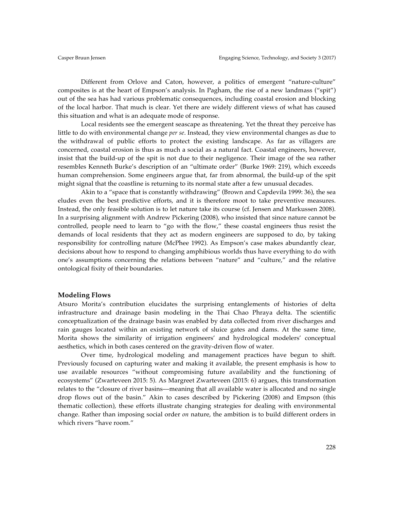Different from Orlove and Caton, however, a politics of emergent "nature-culture" composites is at the heart of Empson's analysis. In Pagham, the rise of a new landmass ("spit") out of the sea has had various problematic consequences, including coastal erosion and blocking of the local harbor. That much is clear. Yet there are widely different views of what has caused this situation and what is an adequate mode of response.

Local residents see the emergent seascape as threatening. Yet the threat they perceive has little to do with environmental change *per se*. Instead, they view environmental changes as due to the withdrawal of public efforts to protect the existing landscape. As far as villagers are concerned, coastal erosion is thus as much a social as a natural fact. Coastal engineers, however, insist that the build-up of the spit is not due to their negligence. Their image of the sea rather resembles Kenneth Burke's description of an "ultimate order" (Burke 1969: 219), which exceeds human comprehension. Some engineers argue that, far from abnormal, the build-up of the spit might signal that the coastline is returning to its normal state after a few unusual decades.

Akin to a "space that is constantly withdrawing" (Brown and Capdevila 1999: 36), the sea eludes even the best predictive efforts, and it is therefore moot to take preventive measures. Instead, the only feasible solution is to let nature take its course (cf. Jensen and Markussen 2008). In a surprising alignment with Andrew Pickering (2008), who insisted that since nature cannot be controlled, people need to learn to "go with the flow," these coastal engineers thus resist the demands of local residents that they act as modern engineers are supposed to do, by taking responsibility for controlling nature (McPhee 1992). As Empson's case makes abundantly clear, decisions about how to respond to changing amphibious worlds thus have everything to do with one's assumptions concerning the relations between "nature" and "culture," and the relative ontological fixity of their boundaries.

#### **Modeling Flows**

Atsuro Morita's contribution elucidates the surprising entanglements of histories of delta infrastructure and drainage basin modeling in the Thai Chao Phraya delta. The scientific conceptualization of the drainage basin was enabled by data collected from river discharges and rain gauges located within an existing network of sluice gates and dams. At the same time, Morita shows the similarity of irrigation engineers' and hydrological modelers' conceptual aesthetics, which in both cases centered on the gravity-driven flow of water.

Over time, hydrological modeling and management practices have begun to shift. Previously focused on capturing water and making it available, the present emphasis is how to use available resources "without compromising future availability and the functioning of ecosystems" (Zwarteveen 2015: 5). As Margreet Zwarteveen (2015: 6) argues, this transformation relates to the "closure of river basins––meaning that all available water is allocated and no single drop flows out of the basin." Akin to cases described by Pickering (2008) and Empson (this thematic collection), these efforts illustrate changing strategies for dealing with environmental change. Rather than imposing social order *on* nature, the ambition is to build different orders in which rivers "have room*.*"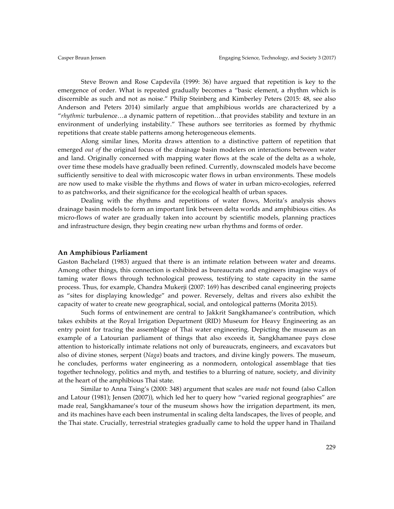Steve Brown and Rose Capdevila (1999: 36) have argued that repetition is key to the emergence of order. What is repeated gradually becomes a "basic element, a rhythm which is discernible as such and not as noise." Philip Steinberg and Kimberley Peters (2015: 48, see also Anderson and Peters 2014) similarly argue that amphibious worlds are characterized by a "*rhythmic* turbulence…a dynamic pattern of repetition…that provides stability and texture in an environment of underlying instability." These authors see territories as formed by rhythmic repetitions that create stable patterns among heterogeneous elements.

Along similar lines, Morita draws attention to a distinctive pattern of repetition that emerged *out of* the original focus of the drainage basin modelers on interactions between water and land. Originally concerned with mapping water flows at the scale of the delta as a whole, over time these models have gradually been refined. Currently, downscaled models have become sufficiently sensitive to deal with microscopic water flows in urban environments. These models are now used to make visible the rhythms and flows of water in urban micro-ecologies, referred to as patchworks, and their significance for the ecological health of urban spaces.

Dealing with the rhythms and repetitions of water flows, Morita's analysis shows drainage basin models to form an important link between delta worlds and amphibious cities. As micro-flows of water are gradually taken into account by scientific models, planning practices and infrastructure design, they begin creating new urban rhythms and forms of order.

#### **An Amphibious Parliament**

Gaston Bachelard (1983) argued that there is an intimate relation between water and dreams. Among other things, this connection is exhibited as bureaucrats and engineers imagine ways of taming water flows through technological prowess, testifying to state capacity in the same process. Thus, for example, Chandra Mukerji (2007: 169) has described canal engineering projects as "sites for displaying knowledge" and power. Reversely, deltas and rivers also exhibit the capacity of water to create new geographical, social, and ontological patterns (Morita 2015).

Such forms of entwinement are central to Jakkrit Sangkhamanee's contribution, which takes exhibits at the Royal Irrigation Department (RID) Museum for Heavy Engineering as an entry point for tracing the assemblage of Thai water engineering. Depicting the museum as an example of a Latourian parliament of things that also exceeds it, Sangkhamanee pays close attention to historically intimate relations not only of bureaucrats, engineers, and excavators but also of divine stones, serpent (*Naga*) boats and tractors, and divine kingly powers. The museum, he concludes, performs water engineering as a nonmodern, ontological assemblage that ties together technology, politics and myth, and testifies to a blurring of nature, society, and divinity at the heart of the amphibious Thai state.

Similar to Anna Tsing's (2000: 348) argument that scales are *made* not found (also Callon and Latour (1981); Jensen (2007)), which led her to query how "varied regional geographies" are made real, Sangkhamanee's tour of the museum shows how the irrigation department, its men, and its machines have each been instrumental in scaling delta landscapes, the lives of people, and the Thai state. Crucially, terrestrial strategies gradually came to hold the upper hand in Thailand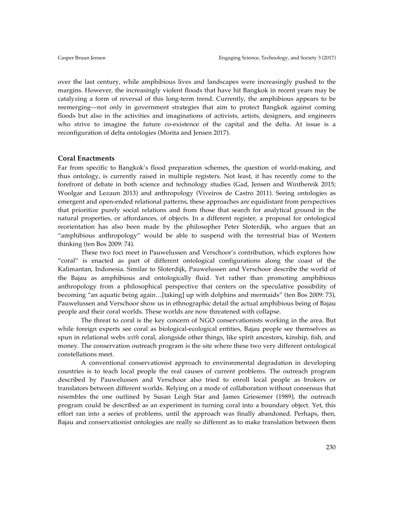over the last century, while amphibious lives and landscapes were increasingly pushed to the margins. However, the increasingly violent floods that have hit Bangkok in recent years may be catalyzing a form of reversal of this long-term trend. Currently, the amphibious appears to be reemerging––not only in government strategies that aim to protect Bangkok against coming floods but also in the activities and imaginations of activists, artists, designers, and engineers who strive to imagine the future co-existence of the capital and the delta. At issue is a reconfiguration of delta ontologies (Morita and Jensen 2017).

## **Coral Enactments**

Far from specific to Bangkok's flood preparation schemes, the question of world-making, and thus ontology, is currently raised in multiple registers. Not least, it has recently come to the forefront of debate in both science and technology studies (Gad, Jensen and Winthereik 2015; Woolgar and Lezaun 2013) and anthropology (Viveiros de Castro 2011). Seeing ontologies as emergent and open-ended relational patterns, these approaches are equidistant from perspectives that prioritize purely social relations and from those that search for analytical ground in the natural properties, or affordances, of objects. In a different register, a proposal for ontological reorientation has also been made by the philosopher Peter Sloterdijk, who argues that an "amphibious anthropology" would be able to suspend with the terrestrial bias of Western thinking (ten Bos 2009: 74).

These two foci meet in Pauwelussen and Verschoor's contribution, which explores how "coral" is enacted as part of different ontological configurations along the coast of the Kalimantan, Indonesia. Similar to Sloterdijk, Pauwelussen and Verschoor describe the world of the Bajau as amphibious and ontologically fluid. Yet rather than promoting amphibious anthropology from a philosophical perspective that centers on the speculative possibility of becoming "an aquatic being again…[taking] up with dolphins and mermaids" (ten Bos 2009: 73), Pauwelussen and Verschoor show us in ethnographic detail the actual amphibious being of Bajau people and their coral worlds. These worlds are now threatened with collapse.

The threat to coral is the key concern of NGO conservationists working in the area. But while foreign experts see coral as biological-ecological entities, Bajau people see themselves as spun in relational webs *with* coral, alongside other things, like spirit ancestors, kinship, fish, and money. The conservation outreach program is the site where these two very different ontological constellations meet.

A conventional conservationist approach to environmental degradation in developing countries is to teach local people the real causes of current problems. The outreach program described by Pauwelussen and Verschoor also tried to enroll local people as brokers or translators between different worlds. Relying on a mode of collaboration without consensus that resembles the one outlined by Susan Leigh Star and James Griesemer (1989), the outreach program could be described as an experiment in turning coral into a boundary object. Yet, this effort ran into a series of problems, until the approach was finally abandoned. Perhaps, then, Bajau and conservationist ontologies are really so different as to make translation between them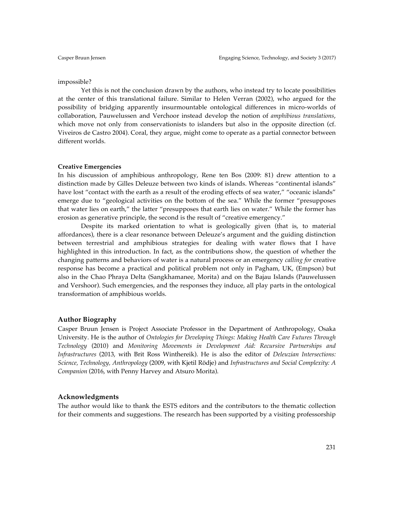## impossible?

Yet this is not the conclusion drawn by the authors, who instead try to locate possibilities at the center of this translational failure. Similar to Helen Verran (2002), who argued for the possibility of bridging apparently insurmountable ontological differences in micro-worlds of collaboration, Pauwelussen and Verchoor instead develop the notion of *amphibious translations*, which move not only from conservationists to islanders but also in the opposite direction (cf. Viveiros de Castro 2004). Coral, they argue, might come to operate as a partial connector between different worlds.

## **Creative Emergencies**

In his discussion of amphibious anthropology, Rene ten Bos (2009: 81) drew attention to a distinction made by Gilles Deleuze between two kinds of islands. Whereas "continental islands" have lost "contact with the earth as a result of the eroding effects of sea water," "oceanic islands" emerge due to "geological activities on the bottom of the sea." While the former "presupposes that water lies on earth," the latter "presupposes that earth lies on water." While the former has erosion as generative principle, the second is the result of "creative emergency."

Despite its marked orientation to what is geologically given (that is, to material affordances), there is a clear resonance between Deleuze's argument and the guiding distinction between terrestrial and amphibious strategies for dealing with water flows that I have highlighted in this introduction. In fact, as the contributions show, the question of whether the changing patterns and behaviors of water is a natural process or an emergency *calling for* creative response has become a practical and political problem not only in Pagham, UK, (Empson) but also in the Chao Phraya Delta (Sangkhamanee, Morita) and on the Bajau Islands (Pauwelussen and Vershoor). Such emergencies, and the responses they induce, all play parts in the ontological transformation of amphibious worlds.

## **Author Biography**

Casper Bruun Jensen is Project Associate Professor in the Department of Anthropology, Osaka University. He is the author of *Ontologies for Developing Things: Making Health Care Futures Through Technology* (2010) and *Monitoring Movements in Development Aid: Recursive Partnerships and Infrastructures* (2013, with Brit Ross Winthereik). He is also the editor of *Deleuzian Intersections: Science, Technology, Anthropology* (2009, with Kjetil Rödje) and *Infrastructures and Social Complexity: A Companion* (2016, with Penny Harvey and Atsuro Morita).

## **Acknowledgments**

The author would like to thank the ESTS editors and the contributors to the thematic collection for their comments and suggestions. The research has been supported by a visiting professorship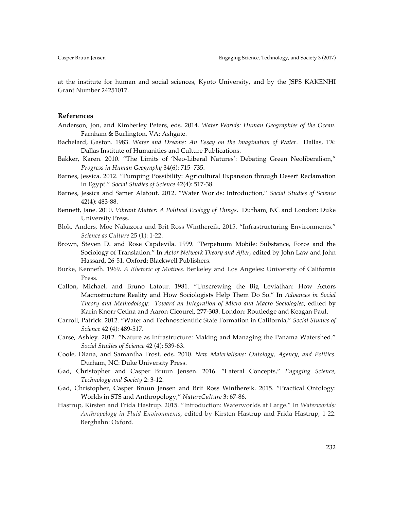at the institute for human and social sciences, Kyoto University, and by the JSPS KAKENHI Grant Number 24251017.

## **References**

- Anderson, Jon, and Kimberley Peters, eds. 2014. *Water Worlds: Human Geographies of the Ocean*. Farnham & Burlington, VA: Ashgate.
- Bachelard, Gaston. 1983. *Water and Dreams: An Essay on the Imagination of Water*. Dallas, TX: Dallas Institute of Humanities and Culture Publications.
- Bakker, Karen. 2010. "The Limits of 'Neo-Liberal Natures': Debating Green Neoliberalism," *Progress in Human Geography* 34(6): 715–735.
- Barnes, Jessica. 2012. "Pumping Possibility: Agricultural Expansion through Desert Reclamation in Egypt." *Social Studies of Science* 42(4): 517-38.
- Barnes, Jessica and Samer Alatout. 2012. "Water Worlds: Introduction," *Social Studies of Science*  42(4): 483-88.
- Bennett, Jane. 2010. *Vibrant Matter: A Political Ecology of Things*. Durham, NC and London: Duke University Press.
- Blok, Anders, Moe Nakazora and Brit Ross Winthereik. 2015. "Infrastructuring Environments." *Science as Culture* 25 (1): 1-22.
- Brown, Steven D. and Rose Capdevila. 1999. "Perpetuum Mobile: Substance, Force and the Sociology of Translation." In *Actor Network Theory and After*, edited by John Law and John Hassard, 26-51. Oxford: Blackwell Publishers.
- Burke, Kenneth. 1969. *A Rhetoric of Motives*. Berkeley and Los Angeles: University of California Press.
- Callon, Michael, and Bruno Latour. 1981. "Unscrewing the Big Leviathan: How Actors Macrostructure Reality and How Sociologists Help Them Do So." In *Advances in Social Theory and Methodology: Toward an Integration of Micro and Macro Sociologies*, edited by Karin Knorr Cetina and Aaron Cicourel, 277-303. London: Routledge and Keagan Paul.
- Carroll, Patrick. 2012. "Water and Technoscientific State Formation in California," *Social Studies of Science* 42 (4): 489-517.
- Carse, Ashley. 2012. "Nature as Infrastructure: Making and Managing the Panama Watershed." *Social Studies of Science* 42 (4): 539-63.
- Coole, Diana, and Samantha Frost, eds. 2010. *New Materialisms: Ontology, Agency, and Politics*. Durham, NC: Duke University Press.
- Gad, Christopher and Casper Bruun Jensen. 2016. "Lateral Concepts," *Engaging Science, Technology and Society* 2: 3-12.
- Gad, Christopher, Casper Bruun Jensen and Brit Ross Winthereik. 2015. "Practical Ontology: Worlds in STS and Anthropology," *NatureCulture* 3: 67-86.
- Hastrup, Kirsten and Frida Hastrup. 2015. "Introduction: Waterworlds at Large." In *Waterworlds: Anthropology in Fluid Environments*, edited by Kirsten Hastrup and Frida Hastrup, 1-22. Berghahn: Oxford.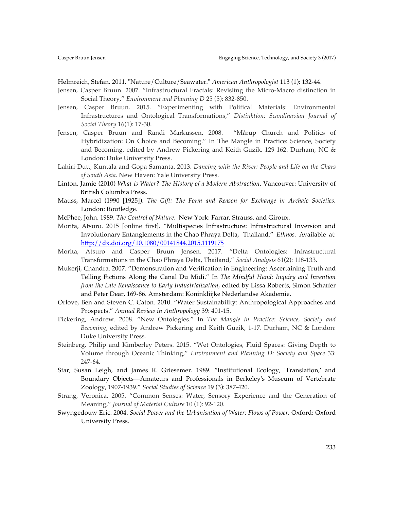Helmreich, Stefan. 2011. "Nature/Culture/Seawater." *American Anthropologist* 113 (1): 132-44.

- Jensen, Casper Bruun. 2007. "Infrastructural Fractals: Revisitng the Micro-Macro distinction in Social Theory," *Environment and Planning D* 25 (5): 832-850.
- Jensen, Casper Bruun. 2015. "Experimenting with Political Materials: Environmental Infrastructures and Ontological Transformations," *Distinktion: Scandinavian Journal of Social Theory* 16(1): 17-30.
- Jensen, Casper Bruun and Randi Markussen. 2008. "Mårup Church and Politics of Hybridization: On Choice and Becoming." In The Mangle in Practice: Science, Society and Becoming, edited by Andrew Pickering and Keith Guzik, 129-162. Durham, NC & London: Duke University Press.
- Lahiri-Dutt, Kuntala and Gopa Samanta. 2013. *Dancing with the River: People and Life on the Chars of South Asia*. New Haven: Yale University Press.
- Linton, Jamie (2010) *What is Water? The History of a Modern Abstraction*. Vancouver: University of British Columbia Press.
- Mauss, Marcel (1990 [1925]). *The Gift: The Form and Reason for Exchange in Archaic Societies.*  London: Routledge.
- McPhee, John. 1989. *The Control of Nature*. New York: Farrar, Strauss, and Giroux.
- Morita, Atsuro. 2015 [online first]. "Multispecies Infrastructure: Infrastructural Inversion and Involutionary Entanglements in the Chao Phraya Delta, Thailand," *Ethnos.* Available at: http://dx.doi.org/10.1080/00141844.2015.1119175
- Morita, Atsuro and Casper Bruun Jensen. 2017. "Delta Ontologies: Infrastructural Transformations in the Chao Phraya Delta, Thailand," *Social Analysis* 61(2): 118-133.
- Mukerji, Chandra. 2007. "Demonstration and Verification in Engineering: Ascertaining Truth and Telling Fictions Along the Canal Du Midi." In *The Mindful Hand: Inquiry and Invention from the Late Renaissance to Early Industrialization*, edited by Lissa Roberts, Simon Schaffer and Peter Dear, 169-86. Amsterdam: Koninkliijke Nederlandse Akademie.
- Orlove, Ben and Steven C. Caton. 2010. "Water Sustainability: Anthropological Approaches and Prospects." *Annual Review in Anthropology* 39: 401-15.
- Pickering, Andrew. 2008. "New Ontologies." In *The Mangle in Practice: Science, Society and Becoming*, edited by Andrew Pickering and Keith Guzik, 1-17. Durham, NC & London: Duke University Press.
- Steinberg, Philip and Kimberley Peters. 2015. "Wet Ontologies, Fluid Spaces: Giving Depth to Volume through Oceanic Thinking," *Environment and Planning D: Society and Space* 33: 247-64.
- Star, Susan Leigh, and James R. Griesemer. 1989. "Institutional Ecology, 'Translation,' and Boundary Objects––Amateurs and Professionals in Berkeley's Museum of Vertebrate Zoology, 1907-1939." *Social Studies of Science* 19 (3): 387-420.
- Strang, Veronica. 2005. "Common Senses: Water, Sensory Experience and the Generation of Meaning," *Journal of Material Culture* 10 (1): 92-120.
- Swyngedouw Eric. 2004. *Social Power and the Urbanisation of Water: Flows of Power.* Oxford: Oxford University Press.